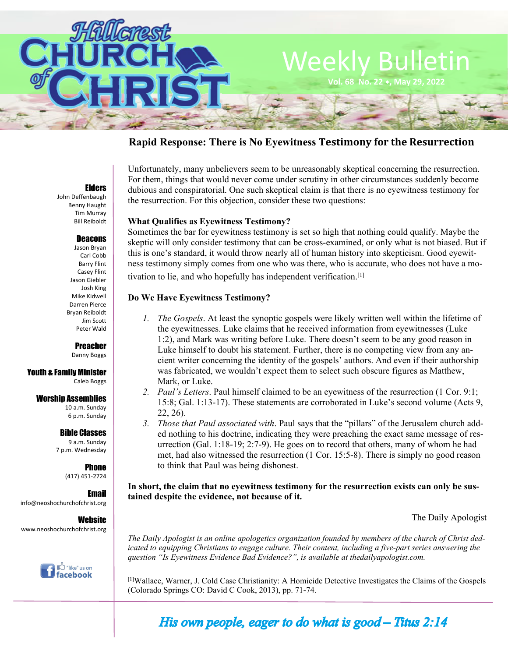

# **Rapid Response: There is No Eyewitness Testimony for the Resurrection**

#### Elders

John Deffenbaugh Benny Haught Tim Murray Bill Reiboldt

### Deacons

Jason Bryan Carl Cobb Barry Flint Casey Flint Jason Giebler Josh King Mike Kidwell Darren Pierce Bryan Reiboldt Jim Scott Peter Wald

## Preacher

Danny Boggs

#### Youth & Family Minister Caleb Boggs

#### Worship Assemblies

10 a.m. Sunday 6 p.m. Sunday

## Bible Classes

9 a.m. Sunday 7 p.m. Wednesday

#### **Phone** (417) 451-2724

Email info@neoshochurchofchrist.org

**Website** www.neoshochurchofchrist.org



Unfortunately, many unbelievers seem to be unreasonably skeptical concerning the resurrection. For them, things that would never come under scrutiny in other circumstances suddenly become dubious and conspiratorial. One such skeptical claim is that there is no eyewitness testimony for the resurrection. For this objection, consider these two questions:

# **What Qualifies as Eyewitness Testimony?**

Sometimes the bar for eyewitness testimony is set so high that nothing could qualify. Maybe the skeptic will only consider testimony that can be cross-examined, or only what is not biased. But if this is one's standard, it would throw nearly all of human history into skepticism. Good eyewitness testimony simply comes from one who was there, who is accurate, who does not have a motivation to lie, and who hopefully has independent verification.[1]

# **Do We Have Eyewitness Testimony?**

- *1. The Gospels*. At least the synoptic gospels were likely written well within the lifetime of the eyewitnesses. Luke claims that he received information from eyewitnesses (Luke 1:2), and Mark was writing before Luke. There doesn't seem to be any good reason in Luke himself to doubt his statement. Further, there is no competing view from any ancient writer concerning the identity of the gospels' authors. And even if their authorship was fabricated, we wouldn't expect them to select such obscure figures as Matthew, Mark, or Luke.
- *2. Paul's Letters*. Paul himself claimed to be an eyewitness of the resurrection (1 Cor. 9:1; 15:8; Gal. 1:13-17). These statements are corroborated in Luke's second volume (Acts 9, 22, 26).
- *3. Those that Paul associated with*. Paul says that the "pillars" of the Jerusalem church added nothing to his doctrine, indicating they were preaching the exact same message of resurrection (Gal. 1:18-19; 2:7-9). He goes on to record that others, many of whom he had met, had also witnessed the resurrection (1 Cor. 15:5-8). There is simply no good reason to think that Paul was being dishonest.

**In short, the claim that no eyewitness testimony for the resurrection exists can only be sustained despite the evidence, not because of it.**

The Daily Apologist

*The Daily Apologist is an online apologetics organization founded by members of the church of Christ dedicated to equipping Christians to engage culture. Their content, including a five-part series answering the question "Is Eyewitness Evidence Bad Evidence?", is available at thedailyapologist.com.*

[1]Wallace, Warner, J. Cold Case Christianity: A Homicide Detective Investigates the Claims of the Gospels (Colorado Springs CO: David C Cook, 2013), pp. 71-74.

His own people, eager to do what is good  $-$  Titus 2:14